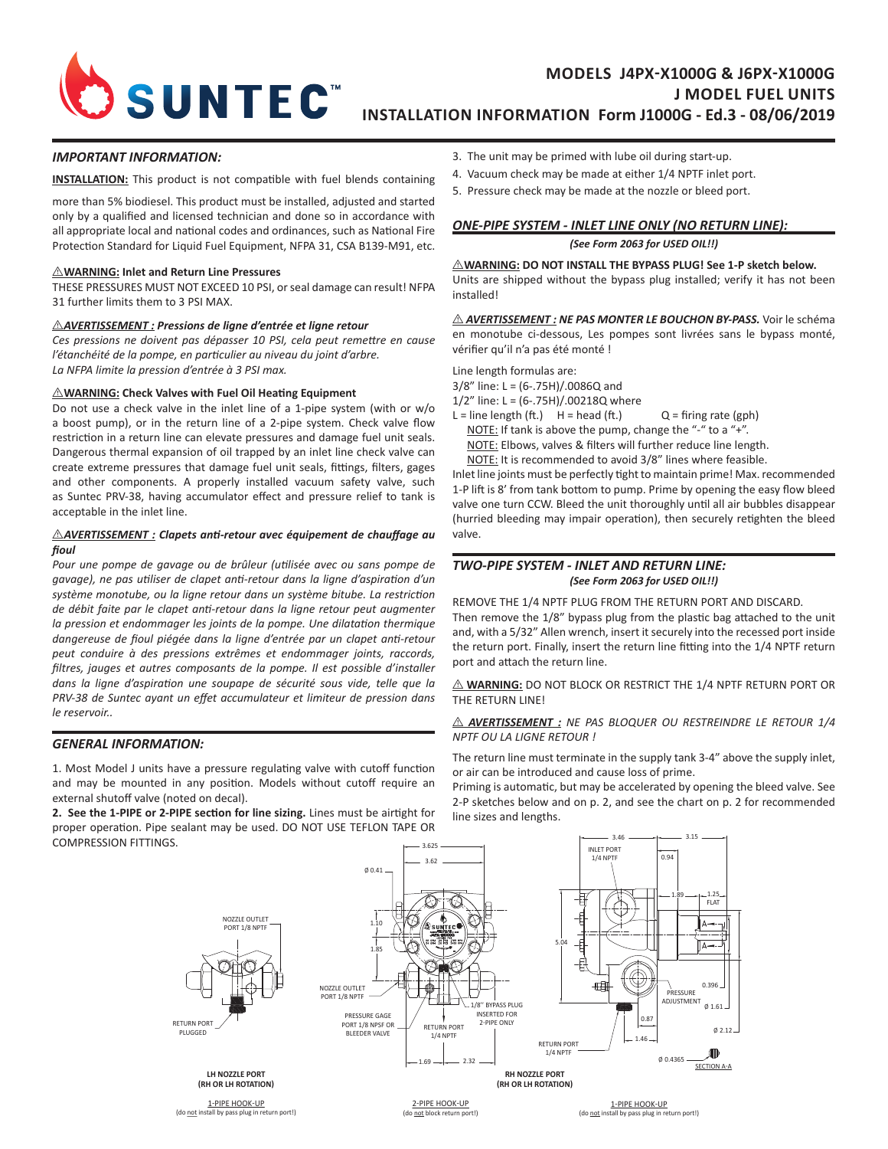

# **MODELS J4PX-X1000G & J6PX-X1000G J MODEL FUEL UNITS INSTALLATION INFORMATION Form J1000G - Ed.3 - 08/06/2019**

### *IMPORTANT INFORMATION:*

**INSTALLATION:** This product is not compatible with fuel blends containing

more than 5% biodiesel. This product must be installed, adjusted and started only by a qualified and licensed technician and done so in accordance with all appropriate local and national codes and ordinances, such as National Fire Protection Standard for Liquid Fuel Equipment, NFPA 31, CSA B139-M91, etc.

### I **WARNING: Inlet and Return Line Pressures**

THESE PRESSURES MUST NOT EXCEED 10 PSI, or seal damage can result! NFPA 31 further limits them to 3 PSI MAX.

## I *AVERTISSEMENT : Pressions de ligne d'entrée et ligne retour*

*Ces pressions ne doivent pas dépasser 10 PSI, cela peut remettre en cause l'étanchéité de la pompe, en particulier au niveau du joint d'arbre. La NFPA limite la pression d'entrée à 3 PSI max.* 

#### I **WARNING: Check Valves with Fuel Oil Heating Equipment**

Do not use a check valve in the inlet line of a 1-pipe system (with or w/o a boost pump), or in the return line of a 2-pipe system. Check valve flow restriction in a return line can elevate pressures and damage fuel unit seals. Dangerous thermal expansion of oil trapped by an inlet line check valve can create extreme pressures that damage fuel unit seals, fittings, filters, gages and other components. A properly installed vacuum safety valve, such as Suntec PRV-38, having accumulator effect and pressure relief to tank is acceptable in the inlet line.

### $\triangle$ AVERTISSEMENT : Clapets anti-retour avec équipement de chauffage au *fioul*

*Pour une pompe de gavage ou de brûleur (utilisée avec ou sans pompe de gavage), ne pas utiliser de clapet anti-retour dans la ligne d'aspiration d'un système monotube, ou la ligne retour dans un système bitube. La restriction de débit faite par le clapet anti-retour dans la ligne retour peut augmenter la pression et endommager les joints de la pompe. Une dilatation thermique dangereuse de fioul piégée dans la ligne d'entrée par un clapet anti-retour peut conduire à des pressions extrêmes et endommager joints, raccords, filtres, jauges et autres composants de la pompe. Il est possible d'installer dans la ligne d'aspiration une soupape de sécurité sous vide, telle que la PRV-38 de Suntec ayant un effet accumulateur et limiteur de pression dans le reservoir..*

## *GENERAL INFORMATION:*

1. Most Model J units have a pressure regulating valve with cutoff function and may be mounted in any position. Models without cutoff require an external shutoff valve (noted on decal).

**2. See the 1-PIPE or 2-PIPE section for line sizing.** Lines must be airtight for proper operation. Pipe sealant may be used. DO NOT USE TEFLON TAPE OR COMPRESSION FITTINGS.

- 3. The unit may be primed with lube oil during start-up.
- 4. Vacuum check may be made at either 1/4 NPTF inlet port.
- 5. Pressure check may be made at the nozzle or bleed port.



# *ONE-PIPE SYSTEM - INLET LINE ONLY (NO RETURN LINE):*

*(See Form 2063 for USED OIL!!)*

# $\triangle$ WARNING: DO NOT INSTALL THE BYPASS PLUG! See 1-P sketch below.

Units are shipped without the bypass plug installed; verify it has not been installed!

I *AVERTISSEMENT : NE PAS MONTER LE BOUCHON BY-PASS.* Voir le schéma en monotube ci-dessous, Les pompes sont livrées sans le bypass monté, vérifier qu'il n'a pas été monté !

Line length formulas are: 3/8" line: L = (6-.75H)/.0086Q and 1/2" line: L = (6-.75H)/.00218Q where

 $L =$  line length (ft.)  $H =$  head (ft.)  $Q =$  firing rate (gph) NOTE: If tank is above the pump, change the "-" to a "+". NOTE: Elbows, valves & filters will further reduce line length. NOTE: It is recommended to avoid 3/8" lines where feasible.

Inlet line joints must be perfectly tight to maintain prime! Max. recommended 1-P lift is 8' from tank bottom to pump. Prime by opening the easy flow bleed valve one turn CCW. Bleed the unit thoroughly until all air bubbles disappear (hurried bleeding may impair operation), then securely retighten the bleed valve.

## *TWO-PIPE SYSTEM - INLET AND RETURN LINE: (See Form 2063 for USED OIL!!)*

REMOVE THE 1/4 NPTF PLUG FROM THE RETURN PORT AND DISCARD. Then remove the 1/8" bypass plug from the plastic bag attached to the unit and, with a 5/32" Allen wrench, insert it securely into the recessed port inside the return port. Finally, insert the return line fitting into the 1/4 NPTF return port and attach the return line.

 $\triangle$  **WARNING:** DO NOT BLOCK OR RESTRICT THE 1/4 NPTF RETURN PORT OR THE RETURN LINE!

## $\triangle$  **AVERTISSEMENT** : NE PAS BLOQUER OU RESTREINDRE LE RETOUR 1/4 *NPTF OU LA LIGNE RETOUR !*

The return line must terminate in the supply tank 3-4" above the supply inlet, or air can be introduced and cause loss of prime.

Priming is automatic, but may be accelerated by opening the bleed valve. See 2-P sketches below and on p. 2, and see the chart on p. 2 for recommended line sizes and lengths.